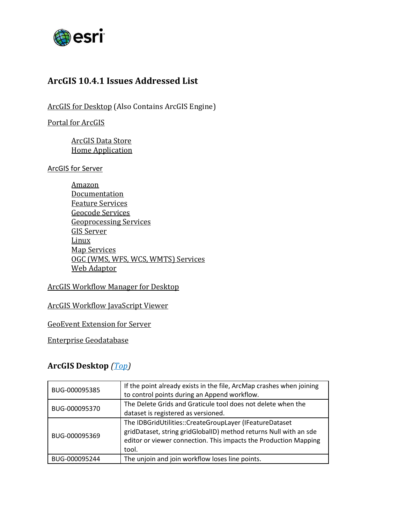

# <span id="page-0-1"></span>**ArcGIS 10.4.1 Issues Addressed List**

[ArcGIS for Desktop](#page-0-0) (Also Contains ArcGIS Engine)

[Portal for ArcGIS](#page-2-0)

[ArcGIS Data Store](#page-2-1) [Home Application](#page-2-2)

ArcGIS [for Server](#page-3-0)

[Amazon](#page-3-0) **[Documentation](#page-4-0)** [Feature Services](#page-4-1) [Geocode Services](#page-5-0) [Geoprocessing Services](#page-5-1) [GIS Server](#page-5-2) [Linux](#page-5-3) [Map Services](#page-6-0) [OGC \(WMS, WFS, WCS, WMTS\) Services](#page-6-1) Web [Adaptor](#page-6-2)

### [ArcGIS Workflow Manager for Desktop](#page-7-0)

#### ArcGIS Workflow [JavaScript Viewer](#page-7-1)

GeoEvent Extension [for Server](#page-7-2)

[Enterprise Geodatabase](#page-7-3)

## <span id="page-0-0"></span>**ArcGIS Desktop** *[\(Top\)](#page-0-1)*

| BUG-000095385 | If the point already exists in the file, ArcMap crashes when joining<br>to control points during an Append workflow.                                                                                      |
|---------------|-----------------------------------------------------------------------------------------------------------------------------------------------------------------------------------------------------------|
| BUG-000095370 | The Delete Grids and Graticule tool does not delete when the<br>dataset is registered as versioned.                                                                                                       |
| BUG-000095369 | The IDBGridUtilities::CreateGroupLayer (IFeatureDataset<br>gridDataset, string gridGlobalID) method returns Null with an sde<br>editor or viewer connection. This impacts the Production Mapping<br>tool. |
| BUG-000095244 | The unjoin and join workflow loses line points.                                                                                                                                                           |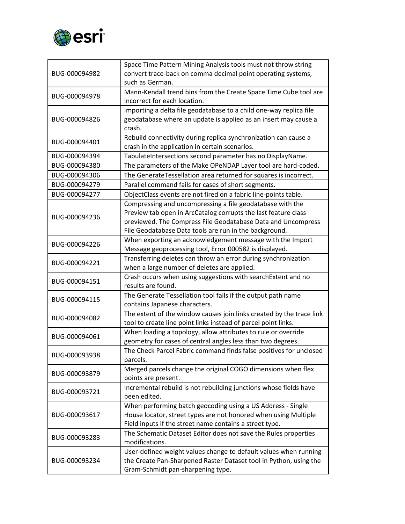

|               | Space Time Pattern Mining Analysis tools must not throw string                 |
|---------------|--------------------------------------------------------------------------------|
| BUG-000094982 | convert trace-back on comma decimal point operating systems,                   |
|               | such as German.                                                                |
| BUG-000094978 | Mann-Kendall trend bins from the Create Space Time Cube tool are               |
|               | incorrect for each location.                                                   |
|               | Importing a delta file geodatabase to a child one-way replica file             |
| BUG-000094826 | geodatabase where an update is applied as an insert may cause a                |
|               | crash.                                                                         |
| BUG-000094401 | Rebuild connectivity during replica synchronization can cause a                |
|               | crash in the application in certain scenarios.                                 |
| BUG-000094394 | TabulateIntersections second parameter has no DisplayName.                     |
| BUG-000094380 | The parameters of the Make OPeNDAP Layer tool are hard-coded.                  |
| BUG-000094306 | The GenerateTessellation area returned for squares is incorrect.               |
| BUG-000094279 | Parallel command fails for cases of short segments.                            |
| BUG-000094277 | ObjectClass events are not fired on a fabric line-points table.                |
|               | Compressing and uncompressing a file geodatabase with the                      |
| BUG-000094236 | Preview tab open in ArcCatalog corrupts the last feature class                 |
|               | previewed. The Compress File Geodatabase Data and Uncompress                   |
|               | File Geodatabase Data tools are run in the background.                         |
| BUG-000094226 | When exporting an acknowledgement message with the Import                      |
|               | Message geoprocessing tool, Error 000582 is displayed.                         |
| BUG-000094221 | Transferring deletes can throw an error during synchronization                 |
|               | when a large number of deletes are applied.                                    |
| BUG-000094151 | Crash occurs when using suggestions with searchExtent and no                   |
|               | results are found.                                                             |
| BUG-000094115 | The Generate Tessellation tool fails if the output path name                   |
|               | contains Japanese characters.                                                  |
| BUG-000094082 | The extent of the window causes join links created by the trace link           |
|               | tool to create line point links instead of parcel point links.                 |
| BUG-000094061 | When loading a topology, allow attributes to rule or override                  |
|               | geometry for cases of central angles less than two degrees.                    |
| BUG-000093938 | The Check Parcel Fabric command finds false positives for unclosed<br>parcels. |
|               | Merged parcels change the original COGO dimensions when flex                   |
| BUG-000093879 | points are present.                                                            |
|               | Incremental rebuild is not rebuilding junctions whose fields have              |
| BUG-000093721 | been edited.                                                                   |
|               | When performing batch geocoding using a US Address - Single                    |
| BUG-000093617 | House locator, street types are not honored when using Multiple                |
|               | Field inputs if the street name contains a street type.                        |
|               | The Schematic Dataset Editor does not save the Rules properties                |
| BUG-000093283 | modifications.                                                                 |
|               | User-defined weight values change to default values when running               |
| BUG-000093234 | the Create Pan-Sharpened Raster Dataset tool in Python, using the              |
|               | Gram-Schmidt pan-sharpening type.                                              |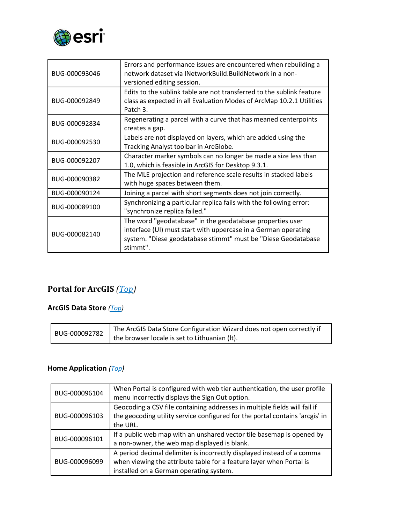

| BUG-000093046 | Errors and performance issues are encountered when rebuilding a<br>network dataset via INetworkBuild.BuildNetwork in a non-<br>versioned editing session.                                                |
|---------------|----------------------------------------------------------------------------------------------------------------------------------------------------------------------------------------------------------|
| BUG-000092849 | Edits to the sublink table are not transferred to the sublink feature<br>class as expected in all Evaluation Modes of ArcMap 10.2.1 Utilities<br>Patch 3.                                                |
| BUG-000092834 | Regenerating a parcel with a curve that has meaned centerpoints<br>creates a gap.                                                                                                                        |
| BUG-000092530 | Labels are not displayed on layers, which are added using the<br>Tracking Analyst toolbar in ArcGlobe.                                                                                                   |
| BUG-000092207 | Character marker symbols can no longer be made a size less than<br>1.0, which is feasible in ArcGIS for Desktop 9.3.1.                                                                                   |
| BUG-000090382 | The MLE projection and reference scale results in stacked labels<br>with huge spaces between them.                                                                                                       |
| BUG-000090124 | Joining a parcel with short segments does not join correctly.                                                                                                                                            |
| BUG-000089100 | Synchronizing a particular replica fails with the following error:<br>"synchronize replica failed."                                                                                                      |
| BUG-000082140 | The word "geodatabase" in the geodatabase properties user<br>interface (UI) must start with uppercase in a German operating<br>system. "Diese geodatabase stimmt" must be "Diese Geodatabase<br>stimmt". |

# <span id="page-2-0"></span>**Portal for ArcGIS** *[\(Top\)](#page-0-1)*

### <span id="page-2-1"></span>**ArcGIS Data Store** *[\(Top\)](#page-0-1)*

|  | The ArcGIS Data Store Configuration Wizard does not open correctly if |
|--|-----------------------------------------------------------------------|
|  | $\sim$ JUG-000092782   the browser locale is set to Lithuanian (It).  |

### <span id="page-2-2"></span>**Home Application** *[\(Top\)](#page-0-1)*

| BUG-000096104 | When Portal is configured with web tier authentication, the user profile<br>menu incorrectly displays the Sign Out option.                                                               |
|---------------|------------------------------------------------------------------------------------------------------------------------------------------------------------------------------------------|
| BUG-000096103 | Geocoding a CSV file containing addresses in multiple fields will fail if<br>the geocoding utility service configured for the portal contains 'arcgis' in<br>the URL.                    |
| BUG-000096101 | If a public web map with an unshared vector tile basemap is opened by<br>a non-owner, the web map displayed is blank.                                                                    |
| BUG-000096099 | A period decimal delimiter is incorrectly displayed instead of a comma<br>when viewing the attribute table for a feature layer when Portal is<br>installed on a German operating system. |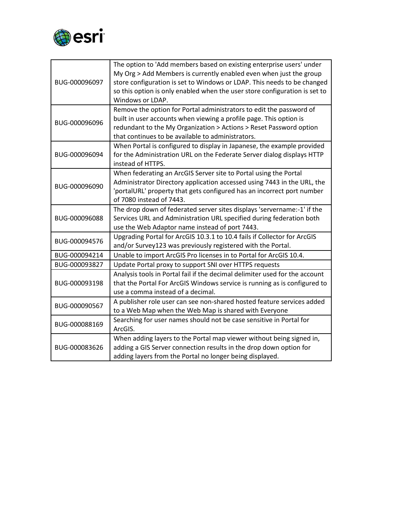

<span id="page-3-0"></span>

| BUG-000096097 | The option to 'Add members based on existing enterprise users' under<br>My Org > Add Members is currently enabled even when just the group<br>store configuration is set to Windows or LDAP. This needs to be changed<br>so this option is only enabled when the user store configuration is set to<br>Windows or LDAP. |
|---------------|-------------------------------------------------------------------------------------------------------------------------------------------------------------------------------------------------------------------------------------------------------------------------------------------------------------------------|
| BUG-000096096 | Remove the option for Portal administrators to edit the password of<br>built in user accounts when viewing a profile page. This option is<br>redundant to the My Organization > Actions > Reset Password option<br>that continues to be available to administrators.                                                    |
| BUG-000096094 | When Portal is configured to display in Japanese, the example provided<br>for the Administration URL on the Federate Server dialog displays HTTP<br>instead of HTTPS.                                                                                                                                                   |
| BUG-000096090 | When federating an ArcGIS Server site to Portal using the Portal<br>Administrator Directory application accessed using 7443 in the URL, the<br>'portalURL' property that gets configured has an incorrect port number<br>of 7080 instead of 7443.                                                                       |
| BUG-000096088 | The drop down of federated server sites displays 'servername:-1' if the<br>Services URL and Administration URL specified during federation both<br>use the Web Adaptor name instead of port 7443.                                                                                                                       |
| BUG-000094576 | Upgrading Portal for ArcGIS 10.3.1 to 10.4 fails if Collector for ArcGIS<br>and/or Survey123 was previously registered with the Portal.                                                                                                                                                                                 |
| BUG-000094214 | Unable to import ArcGIS Pro licenses in to Portal for ArcGIS 10.4.                                                                                                                                                                                                                                                      |
| BUG-000093827 | Update Portal proxy to support SNI over HTTPS requests                                                                                                                                                                                                                                                                  |
| BUG-000093198 | Analysis tools in Portal fail if the decimal delimiter used for the account<br>that the Portal For ArcGIS Windows service is running as is configured to<br>use a comma instead of a decimal.                                                                                                                           |
| BUG-000090567 | A publisher role user can see non-shared hosted feature services added<br>to a Web Map when the Web Map is shared with Everyone                                                                                                                                                                                         |
| BUG-000088169 | Searching for user names should not be case sensitive in Portal for<br>ArcGIS.                                                                                                                                                                                                                                          |
| BUG-000083626 | When adding layers to the Portal map viewer without being signed in,<br>adding a GIS Server connection results in the drop down option for<br>adding layers from the Portal no longer being displayed.                                                                                                                  |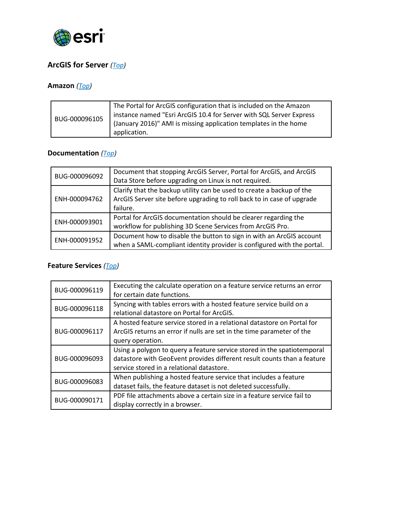

## **ArcGIS for Server** *[\(Top\)](#page-0-1)*

## **Amazon** *[\(Top\)](#page-0-1)*

| BUG-000096105 | The Portal for ArcGIS configuration that is included on the Amazon<br>instance named "Esri ArcGIS 10.4 for Server with SQL Server Express<br>(January 2016)" AMI is missing application templates in the home<br>application. |
|---------------|-------------------------------------------------------------------------------------------------------------------------------------------------------------------------------------------------------------------------------|
|---------------|-------------------------------------------------------------------------------------------------------------------------------------------------------------------------------------------------------------------------------|

### <span id="page-4-0"></span>**Documentation** *[\(Top\)](#page-0-1)*

| BUG-000096092 | Document that stopping ArcGIS Server, Portal for ArcGIS, and ArcGIS    |
|---------------|------------------------------------------------------------------------|
|               | Data Store before upgrading on Linux is not required.                  |
| ENH-000094762 | Clarify that the backup utility can be used to create a backup of the  |
|               | ArcGIS Server site before upgrading to roll back to in case of upgrade |
|               | failure.                                                               |
| ENH-000093901 | Portal for ArcGIS documentation should be clearer regarding the        |
|               | workflow for publishing 3D Scene Services from ArcGIS Pro.             |
| ENH-000091952 | Document how to disable the button to sign in with an ArcGIS account   |
|               | when a SAML-compliant identity provider is configured with the portal. |

### <span id="page-4-1"></span>**Feature Services** *[\(Top\)](#page-0-1)*

| BUG-000096119 | Executing the calculate operation on a feature service returns an error<br>for certain date functions.                                                                                          |
|---------------|-------------------------------------------------------------------------------------------------------------------------------------------------------------------------------------------------|
| BUG-000096118 | Syncing with tables errors with a hosted feature service build on a<br>relational datastore on Portal for ArcGIS.                                                                               |
| BUG-000096117 | A hosted feature service stored in a relational datastore on Portal for<br>ArcGIS returns an error if nulls are set in the time parameter of the<br>query operation.                            |
| BUG-000096093 | Using a polygon to query a feature service stored in the spatiotemporal<br>datastore with GeoEvent provides different result counts than a feature<br>service stored in a relational datastore. |
| BUG-000096083 | When publishing a hosted feature service that includes a feature<br>dataset fails, the feature dataset is not deleted successfully.                                                             |
| BUG-000090171 | PDF file attachments above a certain size in a feature service fail to<br>display correctly in a browser.                                                                                       |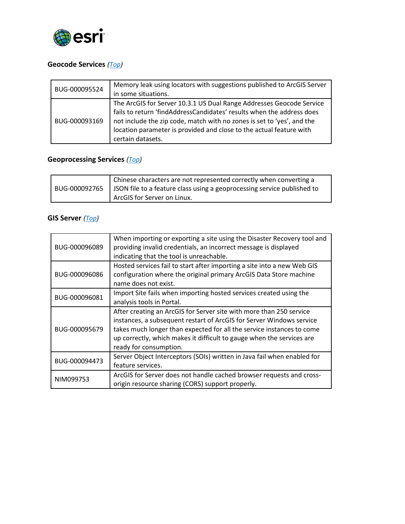

### <span id="page-5-0"></span>**Geocode Services** *[\(Top\)](#page-0-1)*

| BUG-000095524 | Memory leak using locators with suggestions published to ArcGIS Server                                                                                                                                                                                                                                              |
|---------------|---------------------------------------------------------------------------------------------------------------------------------------------------------------------------------------------------------------------------------------------------------------------------------------------------------------------|
|               | in some situations.                                                                                                                                                                                                                                                                                                 |
| BUG-000093169 | The ArcGIS for Server 10.3.1 US Dual Range Addresses Geocode Service<br>fails to return 'findAddressCandidates' results when the address does<br>not include the zip code, match with no zones is set to 'yes', and the<br>location parameter is provided and close to the actual feature with<br>certain datasets. |

# <span id="page-5-1"></span>**Geoprocessing Services** *[\(Top\)](#page-0-1)*

|  | Chinese characters are not represented correctly when converting a<br>BUG-000092765   JSON file to a feature class using a geoprocessing service published to |
|--|---------------------------------------------------------------------------------------------------------------------------------------------------------------|
|  | ArcGIS for Server on Linux.                                                                                                                                   |

#### <span id="page-5-2"></span>**GIS Server** *[\(Top\)](#page-0-1)*

<span id="page-5-3"></span>

| BUG-000096089 | When importing or exporting a site using the Disaster Recovery tool and<br>providing invalid credentials, an incorrect message is displayed<br>indicating that the tool is unreachable.                                                                                                                                 |
|---------------|-------------------------------------------------------------------------------------------------------------------------------------------------------------------------------------------------------------------------------------------------------------------------------------------------------------------------|
| BUG-000096086 | Hosted services fail to start after importing a site into a new Web GIS<br>configuration where the original primary ArcGIS Data Store machine<br>name does not exist.                                                                                                                                                   |
| BUG-000096081 | Import Site fails when importing hosted services created using the<br>analysis tools in Portal.                                                                                                                                                                                                                         |
| BUG-000095679 | After creating an ArcGIS for Server site with more than 250 service<br>instances, a subsequent restart of ArcGIS for Server Windows service<br>takes much longer than expected for all the service instances to come<br>up correctly, which makes it difficult to gauge when the services are<br>ready for consumption. |
| BUG-000094473 | Server Object Interceptors (SOIs) written in Java fail when enabled for<br>feature services.                                                                                                                                                                                                                            |
| NIM099753     | ArcGIS for Server does not handle cached browser requests and cross-<br>origin resource sharing (CORS) support properly.                                                                                                                                                                                                |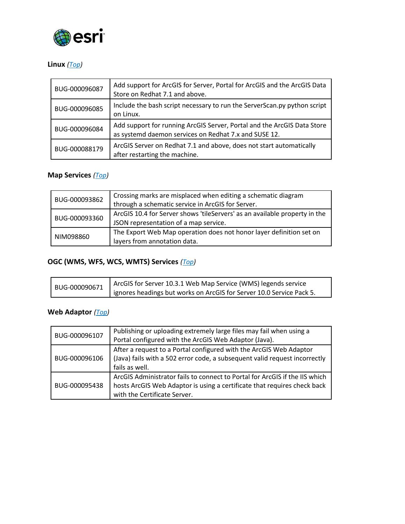

### **Linux** *[\(Top\)](#page-0-1)*

| BUG-000096087 | Add support for ArcGIS for Server, Portal for ArcGIS and the ArcGIS Data<br>Store on Redhat 7.1 and above.                       |
|---------------|----------------------------------------------------------------------------------------------------------------------------------|
| BUG-000096085 | Include the bash script necessary to run the ServerScan.py python script<br>on Linux.                                            |
| BUG-000096084 | Add support for running ArcGIS Server, Portal and the ArcGIS Data Store<br>as systemd daemon services on Redhat 7.x and SUSE 12. |
| BUG-000088179 | ArcGIS Server on Redhat 7.1 and above, does not start automatically<br>after restarting the machine.                             |

### <span id="page-6-0"></span>**Map Services** *[\(Top\)](#page-0-1)*

| BUG-000093862 | Crossing marks are misplaced when editing a schematic diagram              |
|---------------|----------------------------------------------------------------------------|
|               | through a schematic service in ArcGIS for Server.                          |
| BUG-000093360 | ArcGIS 10.4 for Server shows 'tileServers' as an available property in the |
|               | JSON representation of a map service.                                      |
| NIM098860     | The Export Web Map operation does not honor layer definition set on        |
|               | layers from annotation data.                                               |

### <span id="page-6-1"></span>**OGC (WMS, WFS, WCS, WMTS) Services** *[\(Top\)](#page-0-1)*

| BUG-000090671 | ArcGIS for Server 10.3.1 Web Map Service (WMS) legends service         |
|---------------|------------------------------------------------------------------------|
|               | I ignores headings but works on ArcGIS for Server 10.0 Service Pack 5. |

### <span id="page-6-2"></span>**Web Adaptor** *[\(Top\)](#page-0-1)*

| BUG-000096107 | Publishing or uploading extremely large files may fail when using a<br>Portal configured with the ArcGIS Web Adaptor (Java).                                                            |
|---------------|-----------------------------------------------------------------------------------------------------------------------------------------------------------------------------------------|
| BUG-000096106 | After a request to a Portal configured with the ArcGIS Web Adaptor<br>(Java) fails with a 502 error code, a subsequent valid request incorrectly<br>fails as well.                      |
| BUG-000095438 | ArcGIS Administrator fails to connect to Portal for ArcGIS if the IIS which<br>hosts ArcGIS Web Adaptor is using a certificate that requires check back<br>with the Certificate Server. |